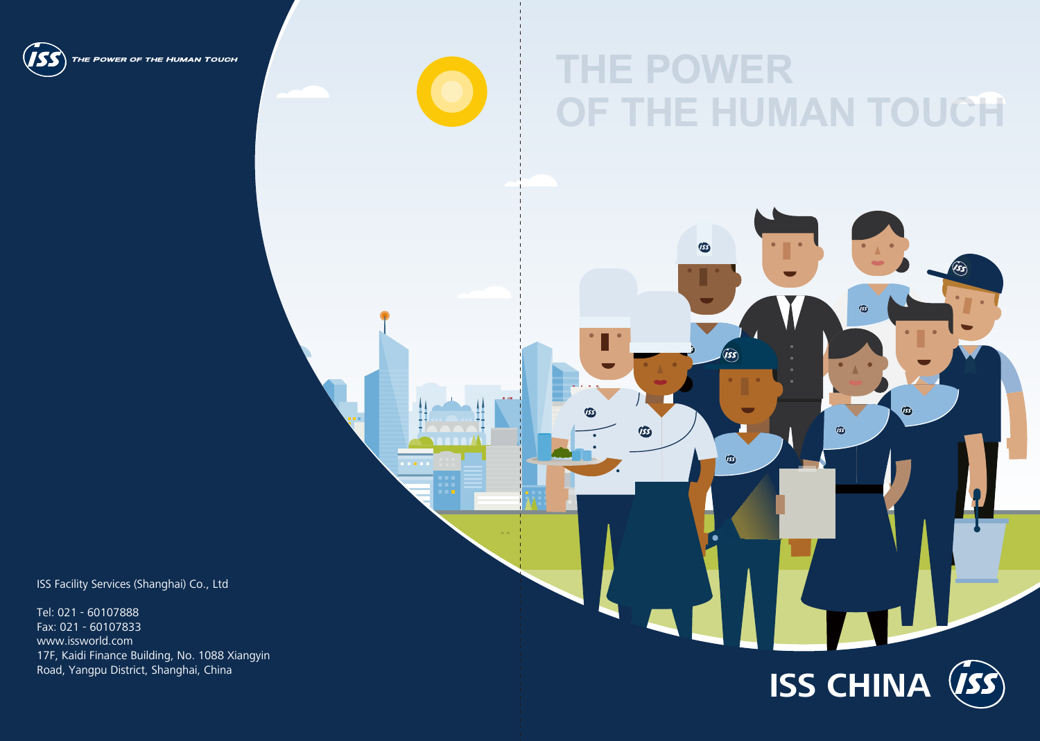

THE POWER OF THE HUMAN TOUCH

# **THE POWER OF THE HUMAN TOUCH**

 $\circledB$ 

**USS** 

 $\widehat{I}$ 

 $\circledR$ 

Tel: 021 - 60107888 Fax: 021 - 60107833 www.issworld.com 17F, Kaidi Finance Building, No. 1088 Xiangyin<br>Road, Yangpu District, Shanghai, China



ISS Facility Services (Shanghai) Co., Ltd



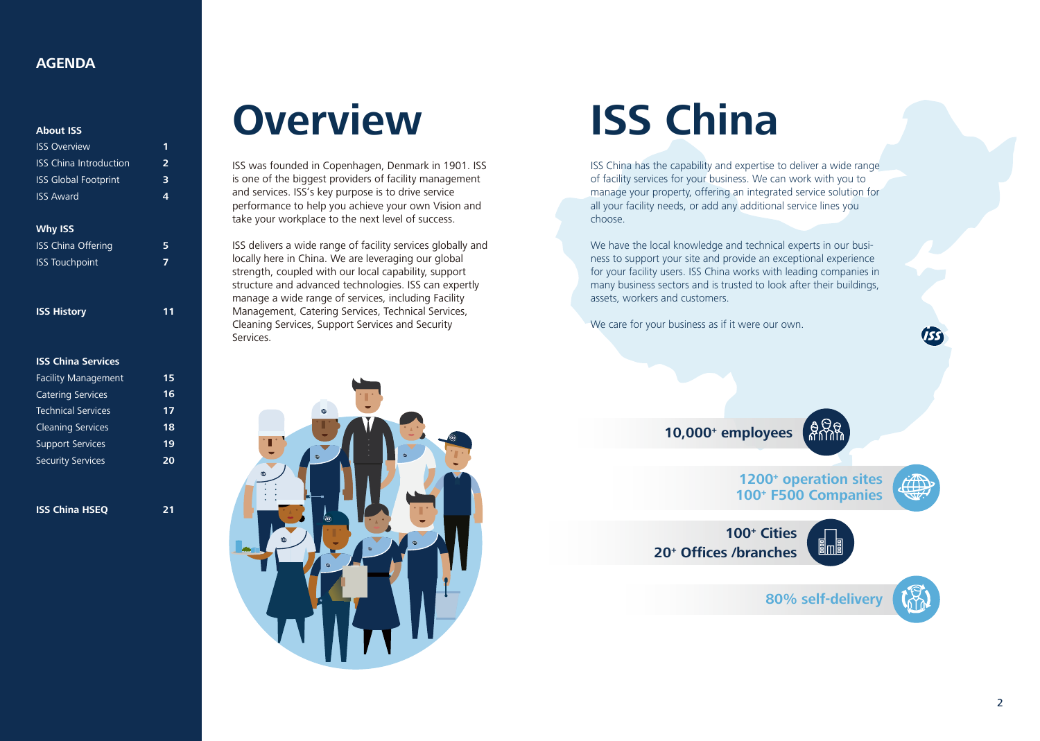#### **About ISS**

#### **Why ISS**

| <b>ISS History</b> |  |  |
|--------------------|--|--|
|                    |  |  |

#### **ISS China Services**

| <b>ISS Overview</b>           |               |
|-------------------------------|---------------|
| <b>ISS</b> China Introduction | $\mathcal{P}$ |
| <b>ISS Global Footprint</b>   | 3             |
| <b>ISS Award</b>              | Δ             |
|                               |               |

| <b>ISS China Offering</b> | 5. |
|---------------------------|----|
| <b>ISS Touchpoint</b>     | 7  |

| <b>Facility Management</b> | 15 |
|----------------------------|----|
| <b>Catering Services</b>   | 16 |
| Technical Services         | 17 |
| <b>Cleaning Services</b>   | 18 |
| <b>Support Services</b>    | 19 |
| <b>Security Services</b>   | 20 |
|                            |    |

**ISS China HSEQ**

**11**

**21**

ISS was founded in Copenhagen, Denmark in 1901. ISS is one of the biggest providers of facility management and services. ISS's key purpose is to drive service performance to help you achieve your own Vision and take your workplace to the next level of success.

ISS delivers a wide range of facility services globally and locally here in China. We are leveraging our global strength, coupled with our local capability, support structure and advanced technologies. ISS can expertly manage a wide range of services, including Facility Management, Catering Services, Technical Services, Cleaning Services, Support Services and Security Services.



ISS China has the capability and expertise to deliver a wide range of facility services for your business. We can work with you to manage your property, offering an integrated service solution for all your facility needs, or add any additional service lines you choose.

We have the local knowledge and technical experts in our business to support your site and provide an exceptional experience for your facility users. ISS China works with leading companies in many business sectors and is trusted to look after their buildings, assets, workers and customers.

We care for your business as if it were our own.

# **ISS China**

### **AGENDA**

## **10,000+ employees**



**100+ Cities 20+ Offices /branches**



## **Overview**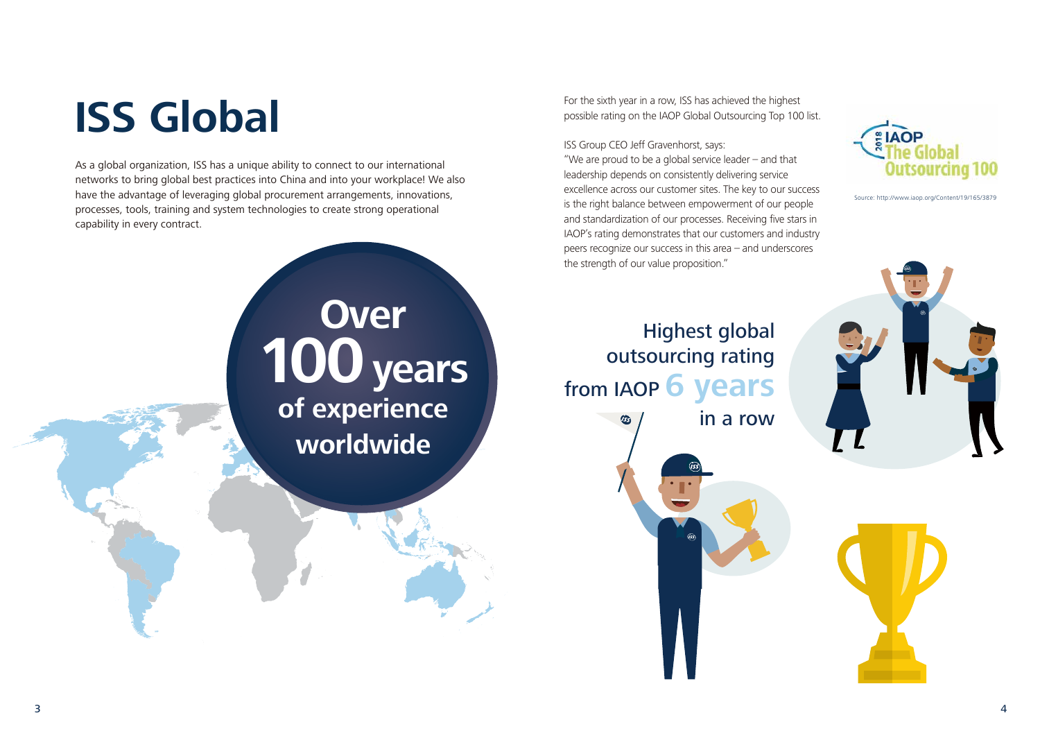For the sixth year in a row, ISS has achieved the highest possible rating on the IAOP Global Outsourcing Top 100 list.

#### ISS Group CEO Jeff Gravenhorst, says:

"We are proud to be a global service leader – and that leadership depends on consistently delivering service excellence across our customer sites. The key to our success is the right balance between empowerment of our people and standardization of our processes. Receiving five stars in IAOP's rating demonstrates that our customers and industry peers recognize our success in this area – and underscores the strength of our value proposition."

As a global organization, ISS has a unique ability to connect to our international networks to bring global best practices into China and into your workplace! We also have the advantage of leveraging global procurement arrangements, innovations, processes, tools, training and system technologies to create strong operational capability in every contract.

# **ISS Global**

Source: http://www.iaop.org/Content/19/165/3879





## Highest global outsourcing rating from IAOP **6 years** in a row



## **Over 100years of experience worldwide**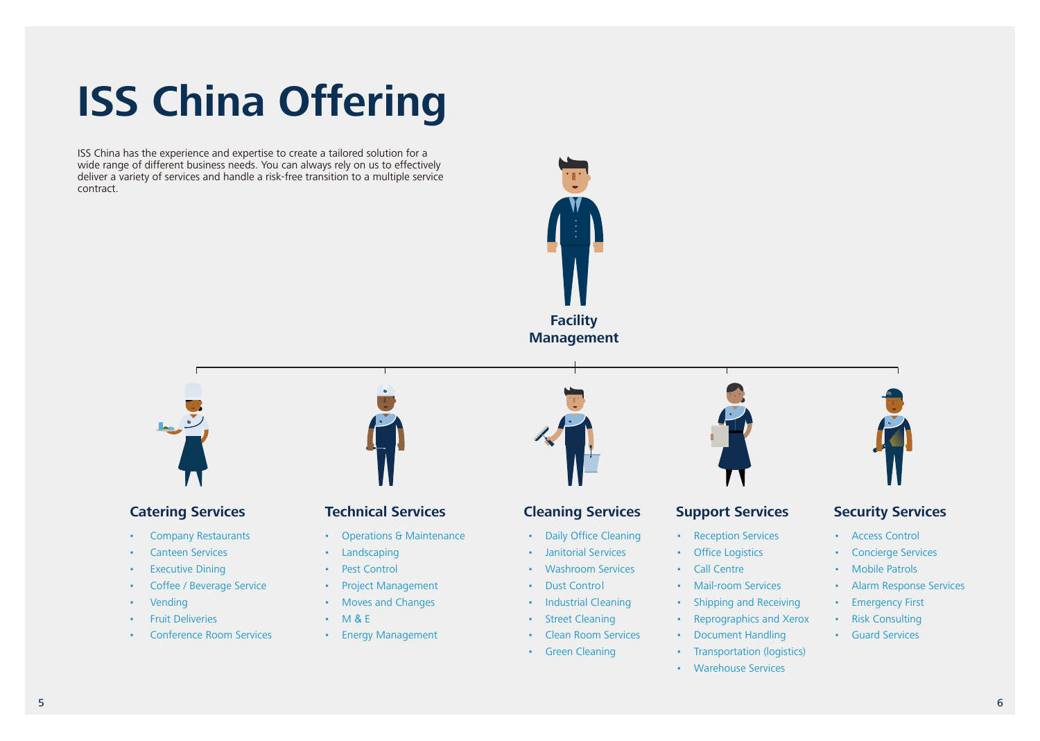ISS China has the experience and expertise to create a tailored solution for a wide range of different business needs. You can always rely on us to effectively deliver a variety of services and handle a risk-free transition to a multiple service contract.

# **ISS China Offering**

### **Catering Services**

- Operations & Maintenance
- Landscaping
- Pest Control
- Project Management
- Moves and Changes
- M & E
- Energy Management



- Company Restaurants
- Canteen Services
- Executive Dining
- Coffee / Beverage Service
- **Vending**
- Fruit Deliveries
- Conference Room Services



## **Technical Services**

## **Cleaning Services**





- Daily Office Cleaning
- Janitorial Services
- Washroom Services
- Dust Control
- Industrial Cleaning
- Street Cleaning
- Clean Room Services
- Green Cleaning



### **Security Services**

- Access Control
- Concierge Services
- Mobile Patrols
- Alarm Response Services
- Emergency First
- Risk Consulting
- Guard Services

### **Support Services**

- Reception Services
- Office Logistics
- Call Centre
- Mail-room Services
- Shipping and Receiving
- Reprographics and Xerox
- Document Handling
- Transportation (logistics)
- Warehouse Services

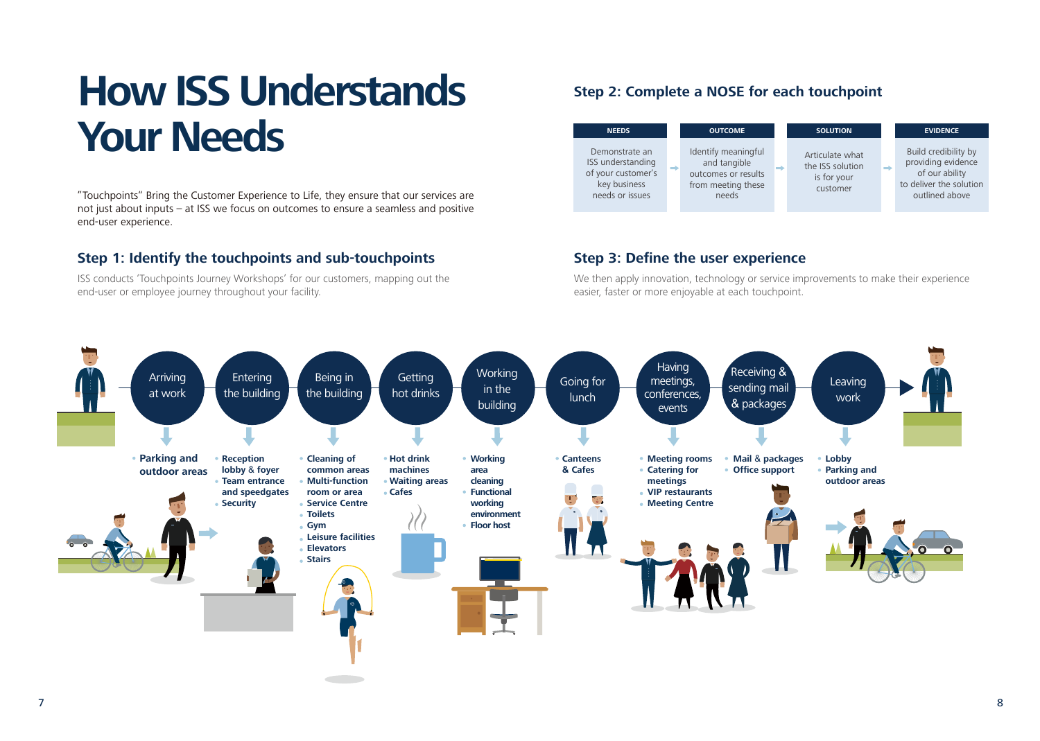"Touchpoints" Bring the Customer Experience to Life, they ensure that our services are not just about inputs – at ISS we focus on outcomes to ensure a seamless and positive end-user experience.

ISS conducts 'Touchpoints Journey Workshops' for our customers, mapping out the end-user or employee journey throughout your facility.

# **How ISS Understands Needs COUTCOME NEEDS COUTCOME SOLUTION EVIDENCE**

We then apply innovation, technology or service improvements to make their experience easier, faster or more enjoyable at each touchpoint.

### **Step 1: Identify the touchpoints and sub-touchpoints**

### **Step 2: Complete a NOSE for each touchpoint**

### **Step 3: Define the user experience**

| <b>OUTCOME</b><br><b>NEEDS</b><br>Identify meaningful<br>Demonstrate an                                                               |                   |                                           |
|---------------------------------------------------------------------------------------------------------------------------------------|-------------------|-------------------------------------------|
|                                                                                                                                       |                   | <b>SOL</b>                                |
| and tangible<br>-<br>-<br>of your customer's<br>outcomes or results<br>key business<br>from meeting these<br>needs or issues<br>needs | ISS understanding | Articul<br>the ISS<br>is fo<br><b>CUS</b> |

Build credibility by providing evidence of our ability to deliver the solution outlined above



ate what solution r your tomer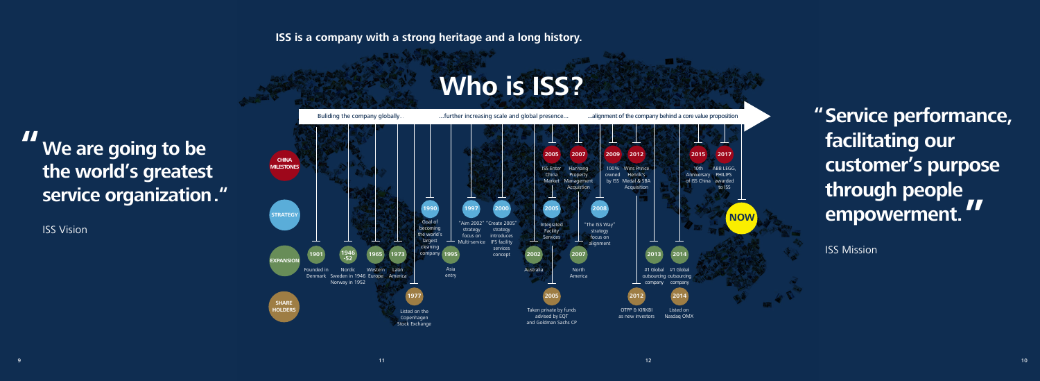## **ISS is a company with a strong heritage and a long history.**



# **Who is ISS?**

Buliding the company globally... Turther increasing scale and global presence... . ..... alignment of the company behind a core value proposition

## **We are going to be the world's greatest service organization. " "**

ISS Vision



## **"Service performance, facilitating our customer's purpose through people empowerment. "**

ISS Mission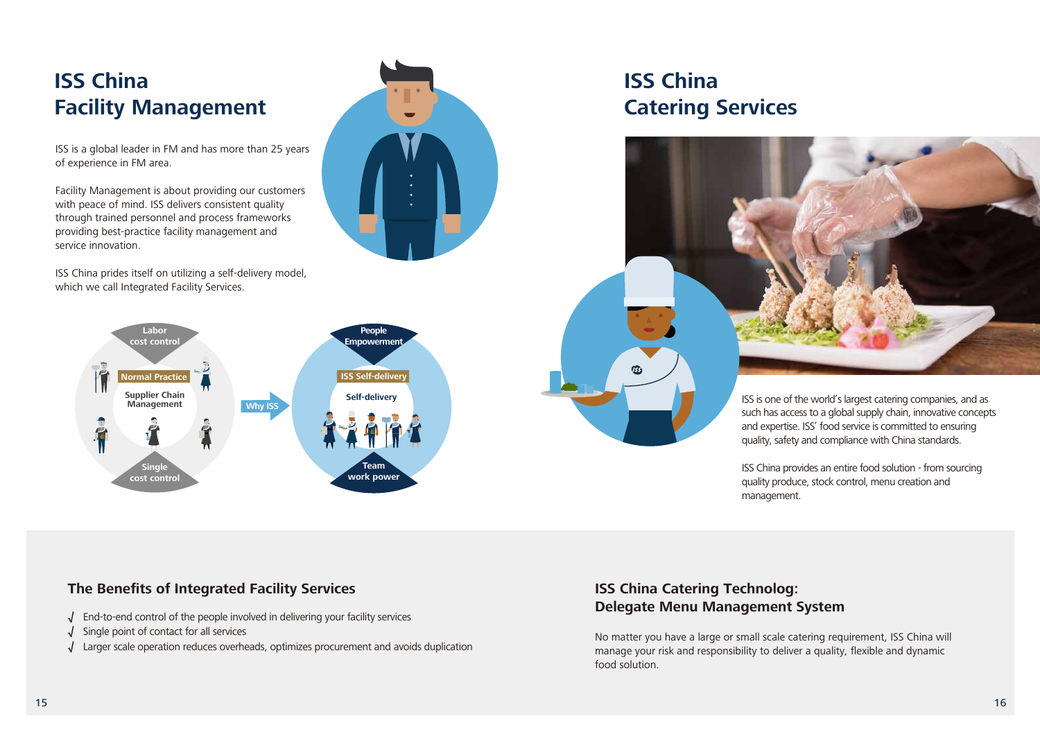ISS is one of the world's largest catering companies, and as such has access to a global supply chain, innovative concepts and expertise. ISS' food service is committed to ensuring quality, safety and compliance with China standards.

ISS China provides an entire food solution - from sourcing quality produce, stock control, menu creation and

management.

No matter you have a large or small scale catering requirement, ISS China will manage your risk and responsibility to deliver a quality, flexible and dynamic food solution.

## **ISS China Catering Technolog: Delegate Menu Management System**

## **ISS China Facility Management**

ISS is a global leader in FM and has more than 25 years of experience in FM area.

Facility Management is about providing our customers with peace of mind. ISS delivers consistent quality through trained personnel and process frameworks providing best-practice facility management and service innovation.

ISS China prides itself on utilizing a self-delivery model, which we call Integrated Facility Services.



## **The Benefits of Integrated Facility Services**

## **ISS China Catering Services**





- **√** End-to-end control of the people involved in delivering your facility services
- **√** Single point of contact for all services
- **√** Larger scale operation reduces overheads, optimizes procurement and avoids duplication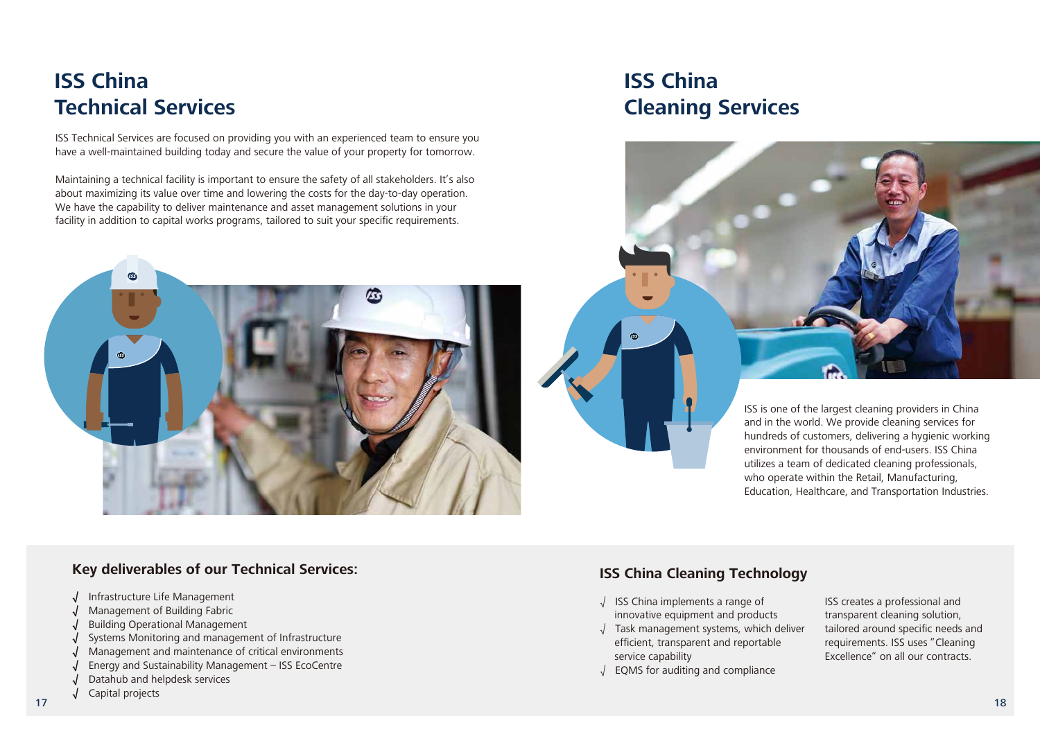#### **Key deliverables of our Technical Services:**

- **√** Infrastructure Life Management
- **√** Management of Building Fabric
- **√** Building Operational Management
- **√** Systems Monitoring and management of Infrastructure
- **√** Management and maintenance of critical environments
- Energy and Sustainability Management ISS EcoCentre
- **√** Datahub and helpdesk services
- 17  $\hspace{0.1cm}$  18 **√** Capital projects

ISS creates a professional and transparent cleaning solution, tailored around specific needs and requirements. ISS uses "Cleaning Excellence" on all our contracts.

- √ ISS China implements a range of innovative equipment and products
- √ Task management systems, which deliver efficient, transparent and reportable service capability
- √ EQMS for auditing and compliance

## **ISS China Cleaning Technology**

## **ISS China Technical Services**

ISS Technical Services are focused on providing you with an experienced team to ensure you have a well-maintained building today and secure the value of your property for tomorrow.

Maintaining a technical facility is important to ensure the safety of all stakeholders. It's also about maximizing its value over time and lowering the costs for the day-to-day operation. We have the capability to deliver maintenance and asset management solutions in your facility in addition to capital works programs, tailored to suit your specific requirements.





## **ISS China Cleaning Services**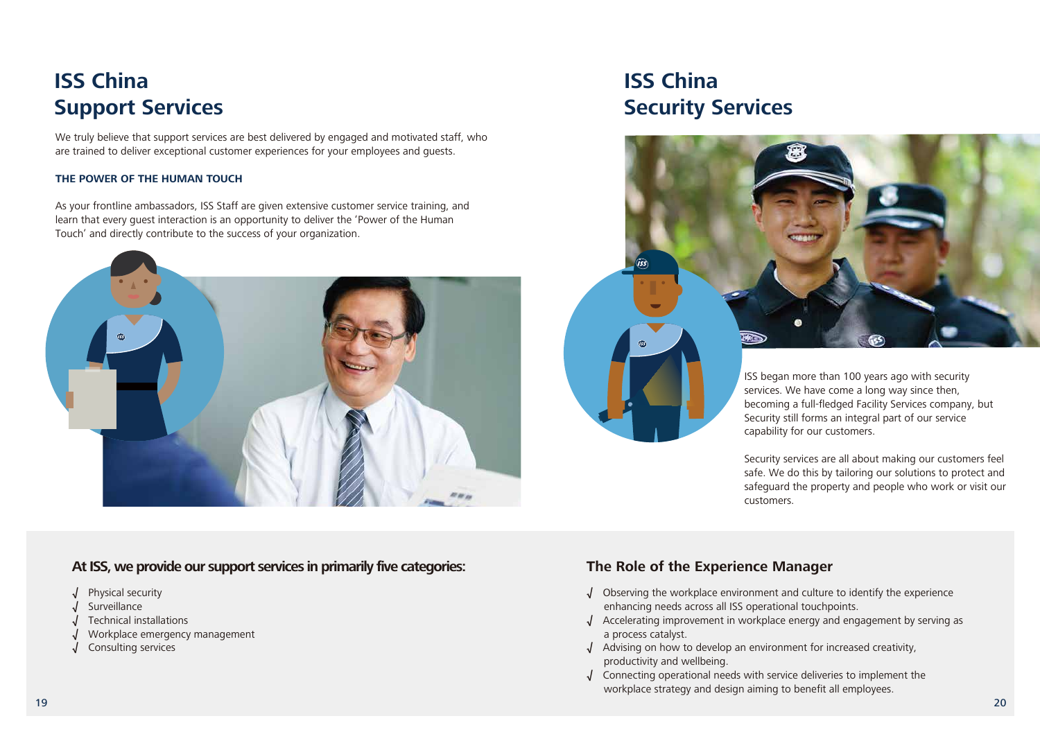- **√** Physical security
- **√** Surveillance
- **√** Technical installations
- **√** Workplace emergency management
- **√** Consulting services

### **At ISS, we provide our support services in primarily five categories:**



Security services are all about making our customers feel safe. We do this by tailoring our solutions to protect and safeguard the property and people who work or visit our customers.

We truly believe that support services are best delivered by engaged and motivated staff, who are trained to deliver exceptional customer experiences for your employees and guests.

- **√** Observing the workplace environment and culture to identify the experience enhancing needs across all ISS operational touchpoints.
- **√** Accelerating improvement in workplace energy and engagement by serving as a process catalyst.
- **√** Advising on how to develop an environment for increased creativity, productivity and wellbeing.
- **√** Connecting operational needs with service deliveries to implement the workplace strategy and design aiming to benefit all employees.

## **The Role of the Experience Manager**

#### **THE POWER OF THE HUMAN TOUCH**

As your frontline ambassadors, ISS Staff are given extensive customer service training, and learn that every guest interaction is an opportunity to deliver the 'Power of the Human Touch' and directly contribute to the success of your organization.



## **ISS China Support Services**

## **ISS China Security Services**